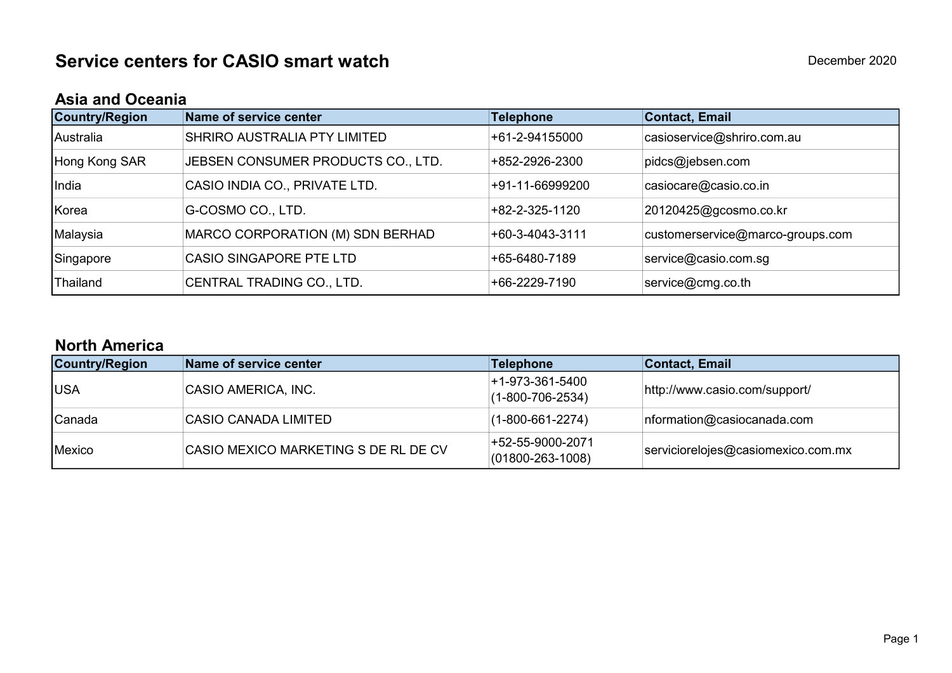## Asia and Oceania

| Country/Region | Name of service center             | <b>Telephone</b> | <b>Contact, Email</b>            |
|----------------|------------------------------------|------------------|----------------------------------|
| Australia      | SHRIRO AUSTRALIA PTY LIMITED       | +61-2-94155000   | casioservice@shriro.com.au       |
| Hong Kong SAR  | JEBSEN CONSUMER PRODUCTS CO., LTD. | +852-2926-2300   | pidcs@jebsen.com                 |
| India          | CASIO INDIA CO., PRIVATE LTD.      | +91-11-66999200  | casiocare@casio.co.in            |
| Korea          | G-COSMO CO., LTD.                  | +82-2-325-1120   | 20120425@gcosmo.co.kr            |
| Malaysia       | MARCO CORPORATION (M) SDN BERHAD   | +60-3-4043-3111  | customerservice@marco-groups.com |
| Singapore      | <b>CASIO SINGAPORE PTE LTD</b>     | +65-6480-7189    | service@casio.com.sg             |
| Thailand       | CENTRAL TRADING CO., LTD.          | +66-2229-7190    | service@cmg.co.th                |

## North America

| <b>Country/Region</b> | Name of service center               | <b>Telephone</b>                           | Contact, Email                     |
|-----------------------|--------------------------------------|--------------------------------------------|------------------------------------|
| <b>IUSA</b>           | CASIO AMERICA, INC.                  | +1-973-361-5400<br>$(1-800-706-2534)$      | http://www.casio.com/support/      |
| <b>Canada</b>         | <b>CASIO CANADA LIMITED</b>          | $(1-800-661-2274)$                         | nformation@casiocanada.com         |
| Mexico                | CASIO MEXICO MARKETING S DE RL DE CV | +52-55-9000-2071<br>$(01800 - 263 - 1008)$ | serviciorelojes@casiomexico.com.mx |